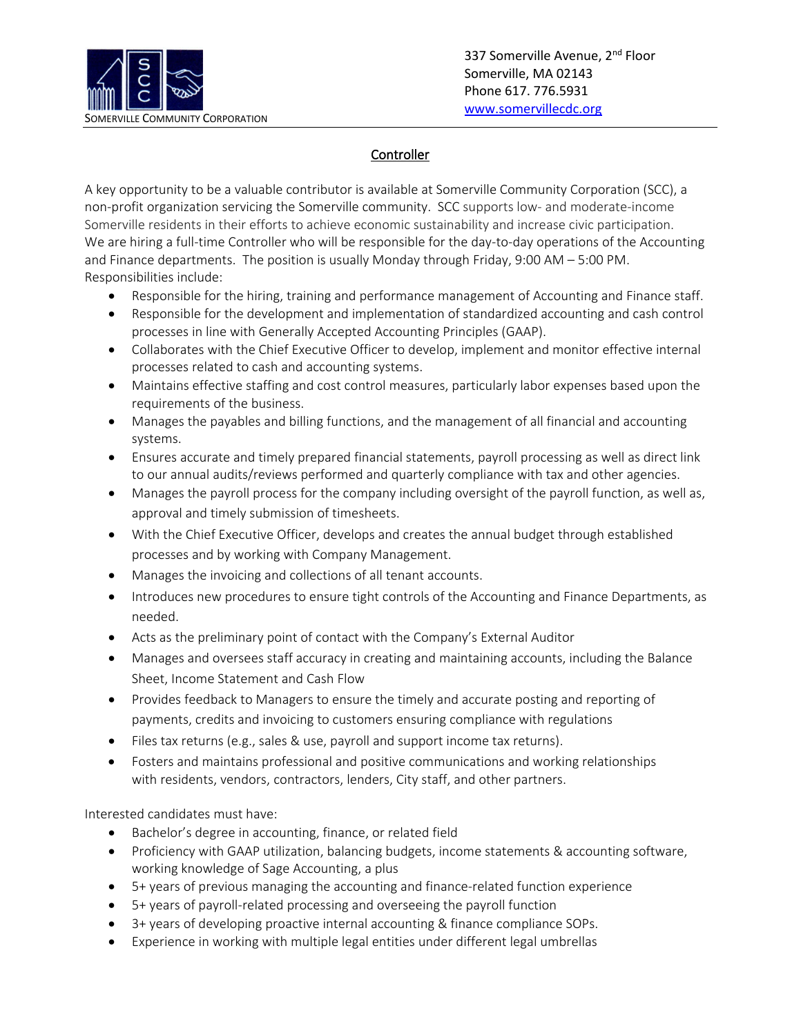

## **Controller**

A key opportunity to be a valuable contributor is available at Somerville Community Corporation (SCC), a non-profit organization servicing the Somerville community. SCC supports low- and moderate-income Somerville residents in their efforts to achieve economic sustainability and increase civic participation. We are hiring a full-time Controller who will be responsible for the day-to-day operations of the Accounting and Finance departments. The position is usually Monday through Friday, 9:00 AM – 5:00 PM. Responsibilities include:

- Responsible for the hiring, training and performance management of Accounting and Finance staff.
- Responsible for the development and implementation of standardized accounting and cash control processes in line with Generally Accepted Accounting Principles (GAAP).
- Collaborates with the Chief Executive Officer to develop, implement and monitor effective internal processes related to cash and accounting systems.
- Maintains effective staffing and cost control measures, particularly labor expenses based upon the requirements of the business.
- Manages the payables and billing functions, and the management of all financial and accounting systems.
- Ensures accurate and timely prepared financial statements, payroll processing as well as direct link to our annual audits/reviews performed and quarterly compliance with tax and other agencies.
- Manages the payroll process for the company including oversight of the payroll function, as well as, approval and timely submission of timesheets.
- With the Chief Executive Officer, develops and creates the annual budget through established processes and by working with Company Management.
- Manages the invoicing and collections of all tenant accounts.
- Introduces new procedures to ensure tight controls of the Accounting and Finance Departments, as needed.
- Acts as the preliminary point of contact with the Company's External Auditor
- Manages and oversees staff accuracy in creating and maintaining accounts, including the Balance Sheet, Income Statement and Cash Flow
- Provides feedback to Managers to ensure the timely and accurate posting and reporting of payments, credits and invoicing to customers ensuring compliance with regulations
- Files tax returns (e.g., sales & use, payroll and support income tax returns).
- Fosters and maintains professional and positive communications and working relationships with residents, vendors, contractors, lenders, City staff, and other partners.

Interested candidates must have:

- Bachelor's degree in accounting, finance, or related field
- Proficiency with GAAP utilization, balancing budgets, income statements & accounting software, working knowledge of Sage Accounting, a plus
- 5+ years of previous managing the accounting and finance-related function experience
- 5+ years of payroll-related processing and overseeing the payroll function
- 3+ years of developing proactive internal accounting & finance compliance SOPs.
- Experience in working with multiple legal entities under different legal umbrellas